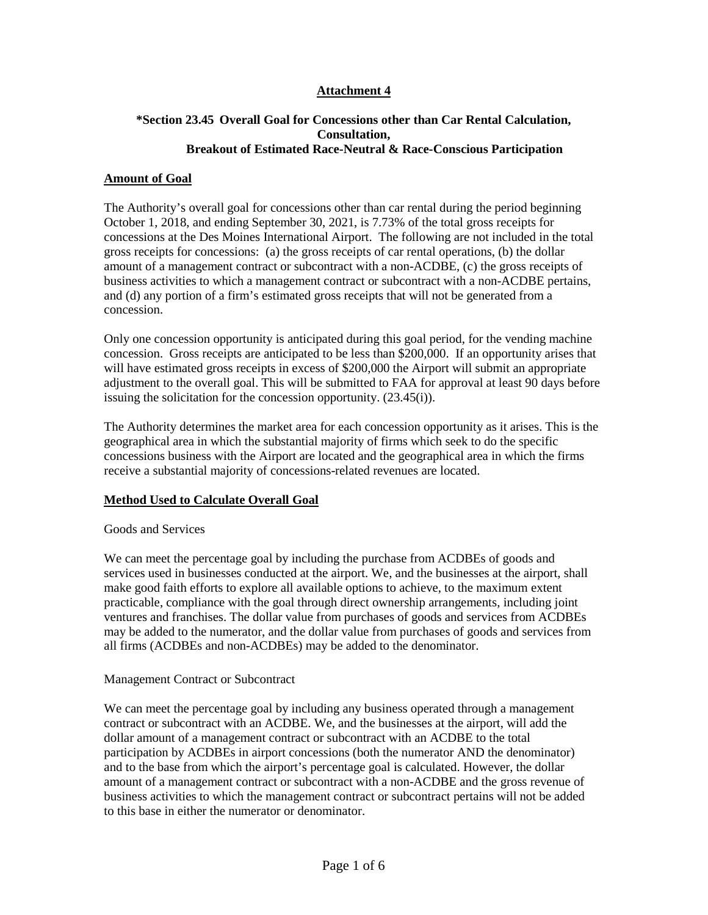# **Attachment 4**

# **\*Section 23.45 Overall Goal for Concessions other than Car Rental Calculation, Consultation, Breakout of Estimated Race-Neutral & Race-Conscious Participation**

#### **Amount of Goal**

The Authority's overall goal for concessions other than car rental during the period beginning October 1, 2018, and ending September 30, 2021, is 7.73% of the total gross receipts for concessions at the Des Moines International Airport. The following are not included in the total gross receipts for concessions: (a) the gross receipts of car rental operations, (b) the dollar amount of a management contract or subcontract with a non-ACDBE, (c) the gross receipts of business activities to which a management contract or subcontract with a non-ACDBE pertains, and (d) any portion of a firm's estimated gross receipts that will not be generated from a concession.

Only one concession opportunity is anticipated during this goal period, for the vending machine concession. Gross receipts are anticipated to be less than \$200,000. If an opportunity arises that will have estimated gross receipts in excess of \$200,000 the Airport will submit an appropriate adjustment to the overall goal. This will be submitted to FAA for approval at least 90 days before issuing the solicitation for the concession opportunity. (23.45(i)).

The Authority determines the market area for each concession opportunity as it arises. This is the geographical area in which the substantial majority of firms which seek to do the specific concessions business with the Airport are located and the geographical area in which the firms receive a substantial majority of concessions-related revenues are located.

### **Method Used to Calculate Overall Goal**

#### Goods and Services

We can meet the percentage goal by including the purchase from ACDBEs of goods and services used in businesses conducted at the airport. We, and the businesses at the airport, shall make good faith efforts to explore all available options to achieve, to the maximum extent practicable, compliance with the goal through direct ownership arrangements, including joint ventures and franchises. The dollar value from purchases of goods and services from ACDBEs may be added to the numerator, and the dollar value from purchases of goods and services from all firms (ACDBEs and non-ACDBEs) may be added to the denominator.

#### Management Contract or Subcontract

We can meet the percentage goal by including any business operated through a management contract or subcontract with an ACDBE. We, and the businesses at the airport, will add the dollar amount of a management contract or subcontract with an ACDBE to the total participation by ACDBEs in airport concessions (both the numerator AND the denominator) and to the base from which the airport's percentage goal is calculated. However, the dollar amount of a management contract or subcontract with a non-ACDBE and the gross revenue of business activities to which the management contract or subcontract pertains will not be added to this base in either the numerator or denominator.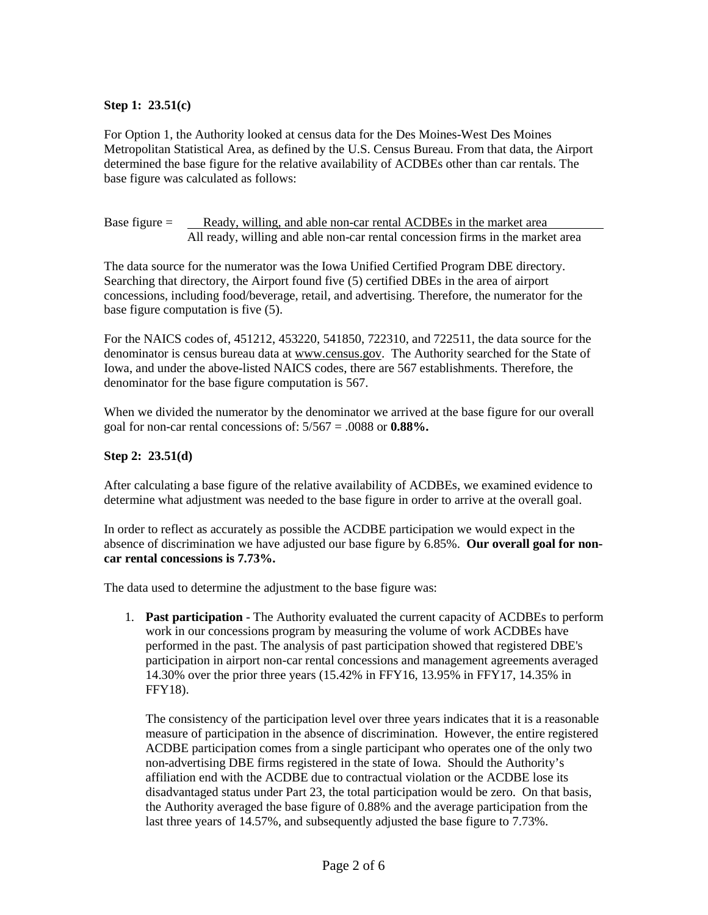# **Step 1: 23.51(c)**

For Option 1, the Authority looked at census data for the Des Moines-West Des Moines Metropolitan Statistical Area, as defined by the U.S. Census Bureau. From that data, the Airport determined the base figure for the relative availability of ACDBEs other than car rentals. The base figure was calculated as follows:

Base figure = Ready, willing, and able non-car rental ACDBEs in the market area All ready, willing and able non-car rental concession firms in the market area

The data source for the numerator was the Iowa Unified Certified Program DBE directory. Searching that directory, the Airport found five (5) certified DBEs in the area of airport concessions, including food/beverage, retail, and advertising. Therefore, the numerator for the base figure computation is five (5).

For the NAICS codes of, 451212, 453220, 541850, 722310, and 722511, the data source for the denominator is census bureau data at www.census.gov. The Authority searched for the State of Iowa, and under the above-listed NAICS codes, there are 567 establishments. Therefore, the denominator for the base figure computation is 567.

When we divided the numerator by the denominator we arrived at the base figure for our overall goal for non-car rental concessions of: 5/567 = .0088 or **0.88%.**

### **Step 2: 23.51(d)**

After calculating a base figure of the relative availability of ACDBEs, we examined evidence to determine what adjustment was needed to the base figure in order to arrive at the overall goal.

In order to reflect as accurately as possible the ACDBE participation we would expect in the absence of discrimination we have adjusted our base figure by 6.85%. **Our overall goal for noncar rental concessions is 7.73%.**

The data used to determine the adjustment to the base figure was:

1. **Past participation** - The Authority evaluated the current capacity of ACDBEs to perform work in our concessions program by measuring the volume of work ACDBEs have performed in the past. The analysis of past participation showed that registered DBE's participation in airport non-car rental concessions and management agreements averaged 14.30% over the prior three years (15.42% in FFY16, 13.95% in FFY17, 14.35% in FFY18).

The consistency of the participation level over three years indicates that it is a reasonable measure of participation in the absence of discrimination. However, the entire registered ACDBE participation comes from a single participant who operates one of the only two non-advertising DBE firms registered in the state of Iowa. Should the Authority's affiliation end with the ACDBE due to contractual violation or the ACDBE lose its disadvantaged status under Part 23, the total participation would be zero. On that basis, the Authority averaged the base figure of 0.88% and the average participation from the last three years of 14.57%, and subsequently adjusted the base figure to 7.73%.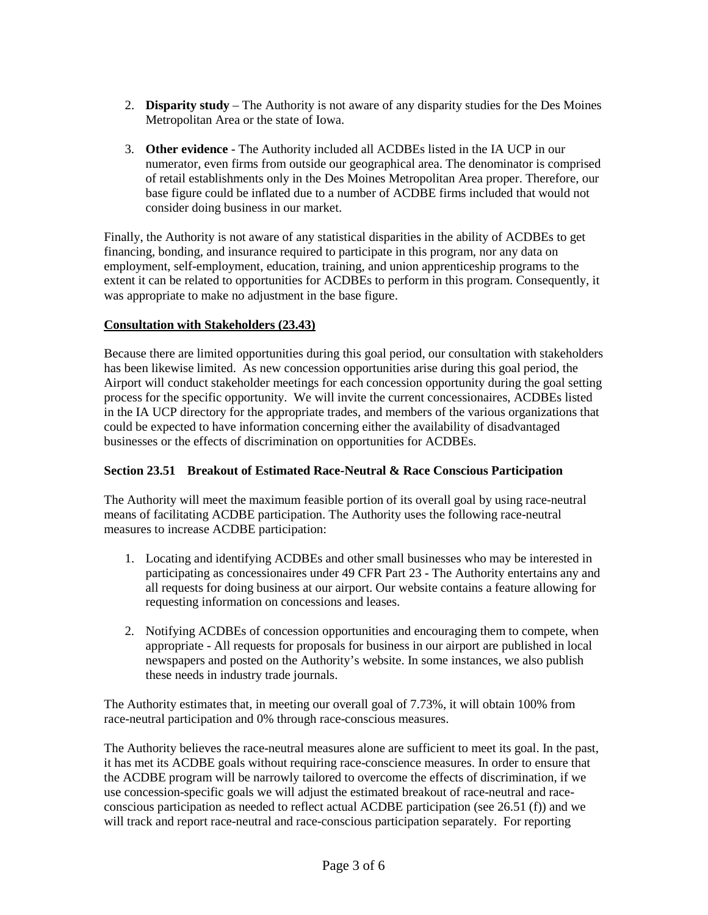- 2. **Disparity study** The Authority is not aware of any disparity studies for the Des Moines Metropolitan Area or the state of Iowa.
- 3. **Other evidence** The Authority included all ACDBEs listed in the IA UCP in our numerator, even firms from outside our geographical area. The denominator is comprised of retail establishments only in the Des Moines Metropolitan Area proper. Therefore, our base figure could be inflated due to a number of ACDBE firms included that would not consider doing business in our market.

Finally, the Authority is not aware of any statistical disparities in the ability of ACDBEs to get financing, bonding, and insurance required to participate in this program, nor any data on employment, self-employment, education, training, and union apprenticeship programs to the extent it can be related to opportunities for ACDBEs to perform in this program. Consequently, it was appropriate to make no adjustment in the base figure.

# **Consultation with Stakeholders (23.43)**

Because there are limited opportunities during this goal period, our consultation with stakeholders has been likewise limited. As new concession opportunities arise during this goal period, the Airport will conduct stakeholder meetings for each concession opportunity during the goal setting process for the specific opportunity. We will invite the current concessionaires, ACDBEs listed in the IA UCP directory for the appropriate trades, and members of the various organizations that could be expected to have information concerning either the availability of disadvantaged businesses or the effects of discrimination on opportunities for ACDBEs.

### **Section 23.51 Breakout of Estimated Race-Neutral & Race Conscious Participation**

The Authority will meet the maximum feasible portion of its overall goal by using race-neutral means of facilitating ACDBE participation. The Authority uses the following race-neutral measures to increase ACDBE participation:

- 1. Locating and identifying ACDBEs and other small businesses who may be interested in participating as concessionaires under 49 CFR Part 23 - The Authority entertains any and all requests for doing business at our airport. Our website contains a feature allowing for requesting information on concessions and leases.
- 2. Notifying ACDBEs of concession opportunities and encouraging them to compete, when appropriate - All requests for proposals for business in our airport are published in local newspapers and posted on the Authority's website. In some instances, we also publish these needs in industry trade journals.

The Authority estimates that, in meeting our overall goal of 7.73%, it will obtain 100% from race-neutral participation and 0% through race-conscious measures.

The Authority believes the race-neutral measures alone are sufficient to meet its goal. In the past, it has met its ACDBE goals without requiring race-conscience measures. In order to ensure that the ACDBE program will be narrowly tailored to overcome the effects of discrimination, if we use concession-specific goals we will adjust the estimated breakout of race-neutral and raceconscious participation as needed to reflect actual ACDBE participation (see 26.51 (f)) and we will track and report race-neutral and race-conscious participation separately. For reporting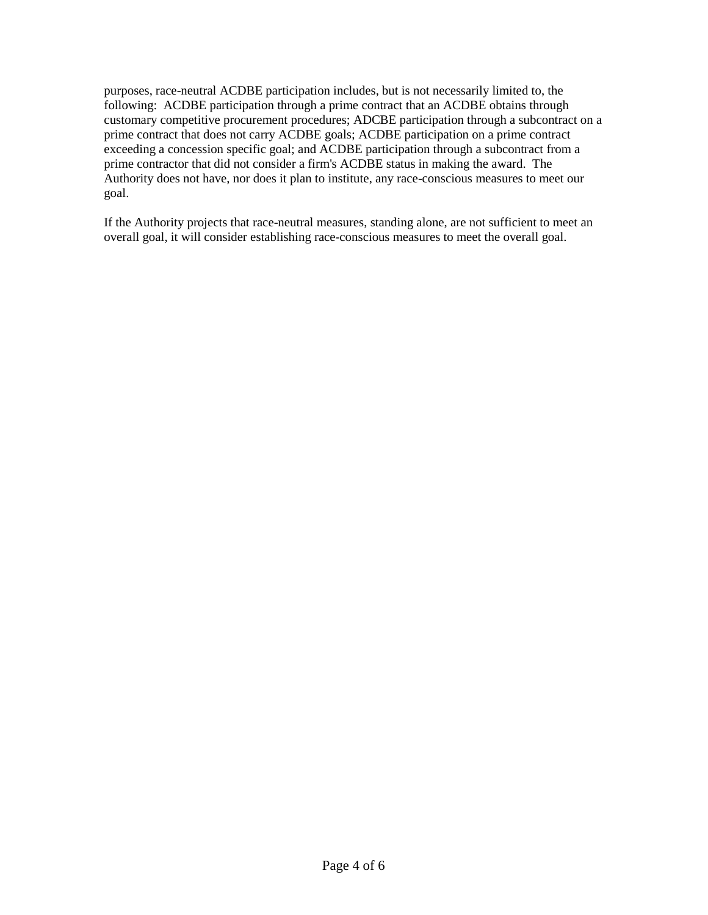purposes, race-neutral ACDBE participation includes, but is not necessarily limited to, the following: ACDBE participation through a prime contract that an ACDBE obtains through customary competitive procurement procedures; ADCBE participation through a subcontract on a prime contract that does not carry ACDBE goals; ACDBE participation on a prime contract exceeding a concession specific goal; and ACDBE participation through a subcontract from a prime contractor that did not consider a firm's ACDBE status in making the award. The Authority does not have, nor does it plan to institute, any race-conscious measures to meet our goal.

If the Authority projects that race-neutral measures, standing alone, are not sufficient to meet an overall goal, it will consider establishing race-conscious measures to meet the overall goal.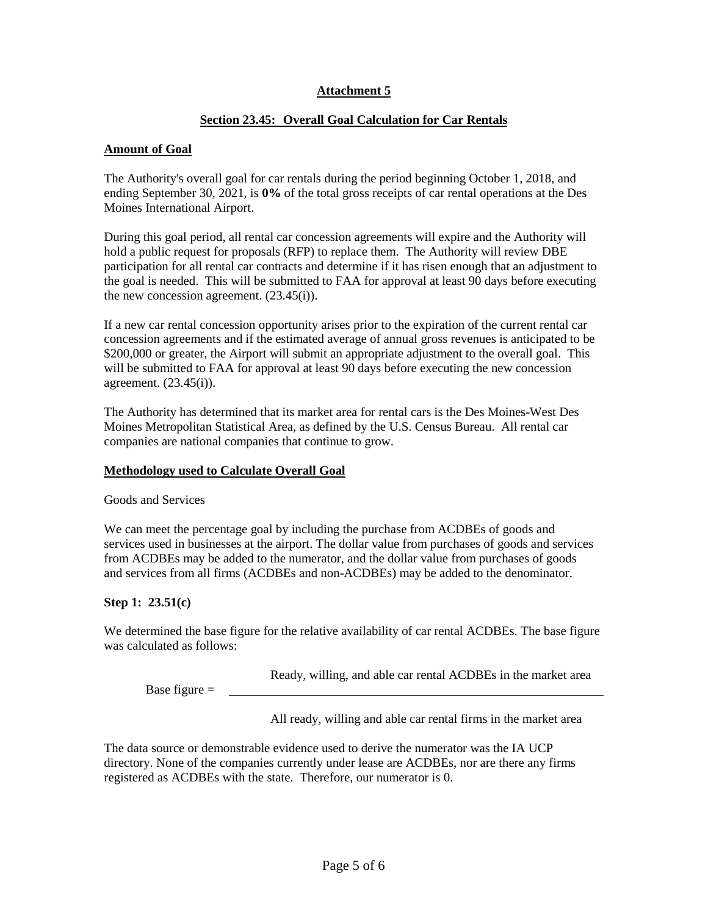### **Attachment 5**

### **Section 23.45: Overall Goal Calculation for Car Rentals**

### **Amount of Goal**

The Authority's overall goal for car rentals during the period beginning October 1, 2018, and ending September 30, 2021, is **0%** of the total gross receipts of car rental operations at the Des Moines International Airport.

During this goal period, all rental car concession agreements will expire and the Authority will hold a public request for proposals (RFP) to replace them. The Authority will review DBE participation for all rental car contracts and determine if it has risen enough that an adjustment to the goal is needed. This will be submitted to FAA for approval at least 90 days before executing the new concession agreement. (23.45(i)).

If a new car rental concession opportunity arises prior to the expiration of the current rental car concession agreements and if the estimated average of annual gross revenues is anticipated to be \$200,000 or greater, the Airport will submit an appropriate adjustment to the overall goal. This will be submitted to FAA for approval at least 90 days before executing the new concession agreement. (23.45(i)).

The Authority has determined that its market area for rental cars is the Des Moines-West Des Moines Metropolitan Statistical Area, as defined by the U.S. Census Bureau. All rental car companies are national companies that continue to grow.

### **Methodology used to Calculate Overall Goal**

Goods and Services

We can meet the percentage goal by including the purchase from ACDBEs of goods and services used in businesses at the airport. The dollar value from purchases of goods and services from ACDBEs may be added to the numerator, and the dollar value from purchases of goods and services from all firms (ACDBEs and non-ACDBEs) may be added to the denominator.

# **Step 1: 23.51(c)**

We determined the base figure for the relative availability of car rental ACDBEs. The base figure was calculated as follows:

Ready, willing, and able car rental ACDBEs in the market area

Base figure  $=$ 

All ready, willing and able car rental firms in the market area

The data source or demonstrable evidence used to derive the numerator was the IA UCP directory. None of the companies currently under lease are ACDBEs, nor are there any firms registered as ACDBEs with the state. Therefore, our numerator is 0.